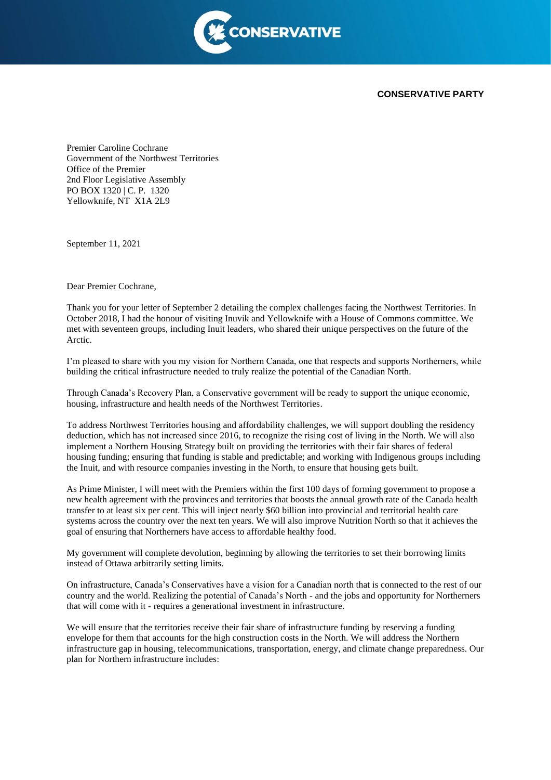

## **CONSERVATIVE PARTY**

Premier Caroline Cochrane Government of the Northwest Territories Office of the Premier 2nd Floor Legislative Assembly PO BOX 1320 | C. P. 1320 Yellowknife, NT X1A 2L9

September 11, 2021

Dear Premier Cochrane,

Thank you for your letter of September 2 detailing the complex challenges facing the Northwest Territories. In October 2018, I had the honour of visiting Inuvik and Yellowknife with a House of Commons committee. We met with seventeen groups, including Inuit leaders, who shared their unique perspectives on the future of the Arctic.

I'm pleased to share with you my vision for Northern Canada, one that respects and supports Northerners, while building the critical infrastructure needed to truly realize the potential of the Canadian North.

Through Canada's Recovery Plan, a Conservative government will be ready to support the unique economic, housing, infrastructure and health needs of the Northwest Territories.

To address Northwest Territories housing and affordability challenges, we will support doubling the residency deduction, which has not increased since 2016, to recognize the rising cost of living in the North. We will also implement a Northern Housing Strategy built on providing the territories with their fair shares of federal housing funding; ensuring that funding is stable and predictable; and working with Indigenous groups including the Inuit, and with resource companies investing in the North, to ensure that housing gets built.

As Prime Minister, I will meet with the Premiers within the first 100 days of forming government to propose a new health agreement with the provinces and territories that boosts the annual growth rate of the Canada health transfer to at least six per cent. This will inject nearly \$60 billion into provincial and territorial health care systems across the country over the next ten years. We will also improve Nutrition North so that it achieves the goal of ensuring that Northerners have access to affordable healthy food.

My government will complete devolution, beginning by allowing the territories to set their borrowing limits instead of Ottawa arbitrarily setting limits.

On infrastructure, Canada's Conservatives have a vision for a Canadian north that is connected to the rest of our country and the world. Realizing the potential of Canada's North - and the jobs and opportunity for Northerners that will come with it - requires a generational investment in infrastructure.

We will ensure that the territories receive their fair share of infrastructure funding by reserving a funding envelope for them that accounts for the high construction costs in the North. We will address the Northern infrastructure gap in housing, telecommunications, transportation, energy, and climate change preparedness. Our plan for Northern infrastructure includes: